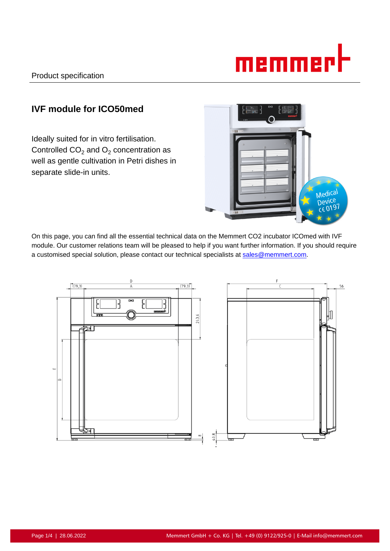

# **IVF module for ICO50med**

Ideally suited for in vitro fertilisation. Controlled CO<sub>2</sub> and O<sub>2</sub> concentration as well as gentle cultivation in Petri dishes in separate slide-in units.



On this page, you can find all the essential technical data on the Memmert CO2 incubator ICOmed with IVF module. Our customer relations team will be pleased to help if you want further information. If you should require a customised special solution, please contact our technical specialists at sales@memmert.com.

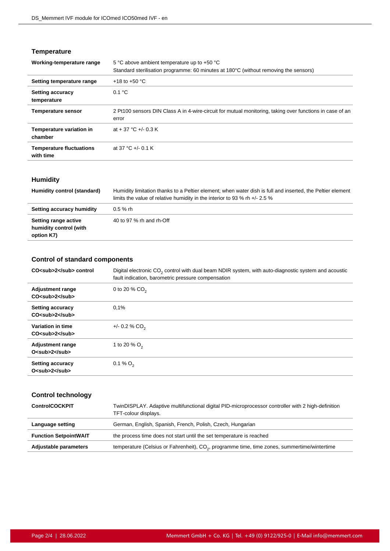# **Temperature**

| 5 °C above ambient temperature up to +50 °C                                                                       |
|-------------------------------------------------------------------------------------------------------------------|
| Standard sterilisation programme: 60 minutes at 180°C (without removing the sensors)                              |
| +18 to +50 $^{\circ}$ C                                                                                           |
| 0.1 °C                                                                                                            |
| 2 Pt100 sensors DIN Class A in 4-wire-circuit for mutual monitoring, taking over functions in case of an<br>error |
| at + 37 °C +/- 0.3 K                                                                                              |
| at 37 °C +/- 0.1 K                                                                                                |
|                                                                                                                   |

# **Humidity**

| Humidity control (standard)                                  | Humidity limitation thanks to a Peltier element; when water dish is full and inserted, the Peltier element<br>limits the value of relative humidity in the interior to 93 % rh $+/- 2.5$ % |
|--------------------------------------------------------------|--------------------------------------------------------------------------------------------------------------------------------------------------------------------------------------------|
| Setting accuracy humidity                                    | $0.5 \%$ rh                                                                                                                                                                                |
| Setting range active<br>humidity control (with<br>option K7) | 40 to 97 % rh and rh-Off                                                                                                                                                                   |

# **Control of standard components**

| CO <sub>2</sub> control                                   | Digital electronic CO <sub>2</sub> control with dual beam NDIR system, with auto-diagnostic system and acoustic<br>fault indication, barometric pressure compensation |
|-----------------------------------------------------------|-----------------------------------------------------------------------------------------------------------------------------------------------------------------------|
| <b>Adjustment range</b><br>$CO5$ sub>2 $5$ sub>           | 0 to 20 % $CO2$                                                                                                                                                       |
| <b>Setting accuracy</b><br>$CO$ <sub><math>2</math></sub> | 0.1%                                                                                                                                                                  |
| Variation in time<br>$CO$ <sub><math>2</math></sub>       | $+/- 0.2 % CO2$                                                                                                                                                       |
| <b>Adjustment range</b><br>$Osub>22$ sub>                 | 1 to 20 % $O_2$                                                                                                                                                       |
| <b>Setting accuracy</b><br>O <sub>2</sub>                 | 0.1 % $O_2$                                                                                                                                                           |

# **Control technology**

| <b>ControlCOCKPIT</b>        | TwinDISPLAY. Adaptive multifunctional digital PID-microprocessor controller with 2 high-definition<br>TFT-colour displays. |
|------------------------------|----------------------------------------------------------------------------------------------------------------------------|
| Language setting             | German, English, Spanish, French, Polish, Czech, Hungarian                                                                 |
| <b>Function SetpointWAIT</b> | the process time does not start until the set temperature is reached                                                       |
| Adjustable parameters        | temperature (Celsius or Fahrenheit), CO <sub>2</sub> , programme time, time zones, summertime/wintertime                   |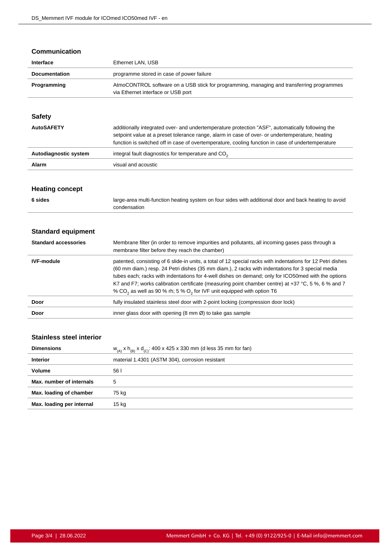#### **Communication**

| Interface            | Ethernet LAN, USB                                                                                                               |
|----------------------|---------------------------------------------------------------------------------------------------------------------------------|
| <b>Documentation</b> | programme stored in case of power failure                                                                                       |
| Programming          | AtmoCONTROL software on a USB stick for programming, managing and transferring programmes<br>via Ethernet interface or USB port |

# **Safety**

| <b>AutoSAFETY</b>     | additionally integrated over- and undertemperature protection "ASF", automatically following the<br>setpoint value at a preset tolerance range, alarm in case of over- or undertemperature, heating<br>function is switched off in case of overtemperature, cooling function in case of undertemperature |
|-----------------------|----------------------------------------------------------------------------------------------------------------------------------------------------------------------------------------------------------------------------------------------------------------------------------------------------------|
| Autodiagnostic system | integral fault diagnostics for temperature and CO <sub>2</sub>                                                                                                                                                                                                                                           |
| Alarm                 | visual and acoustic                                                                                                                                                                                                                                                                                      |

#### **Heating concept**

| 6 sides | large-area multi-function heating system on four sides with additional door and back heating to avoid |
|---------|-------------------------------------------------------------------------------------------------------|
|         | condensation                                                                                          |

# **Standard equipment**

| <b>Standard accessories</b> | Membrane filter (in order to remove impurities and pollutants, all incoming gases pass through a<br>membrane filter before they reach the chamber)                                                                                                                                                                                                                                                                                                                                                                              |
|-----------------------------|---------------------------------------------------------------------------------------------------------------------------------------------------------------------------------------------------------------------------------------------------------------------------------------------------------------------------------------------------------------------------------------------------------------------------------------------------------------------------------------------------------------------------------|
| <b>IVF-module</b>           | patented, consisting of 6 slide-in units, a total of 12 special racks with indentations for 12 Petri dishes<br>(60 mm diam.) resp. 24 Petri dishes (35 mm diam.), 2 racks with indentations for 3 special media<br>tubes each; racks with indentations for 4-well dishes on demand; only for ICO50 med with the options<br>K7 and F7; works calibration certificate (measuring point chamber centre) at +37 °C, 5 %, 6 % and 7<br>% CO <sub>2</sub> as well as 90 % rh; 5 % O <sub>2</sub> for IVF unit equipped with option T6 |
| Door                        | fully insulated stainless steel door with 2-point locking (compression door lock)                                                                                                                                                                                                                                                                                                                                                                                                                                               |
| Door                        | inner glass door with opening $(8 \text{ mm } \emptyset)$ to take gas sample                                                                                                                                                                                                                                                                                                                                                                                                                                                    |

# **Stainless steel interior**

| <b>Dimensions</b>         | $w_{(A)}$ x $h_{(B)}$ x $d_{(C)}$ : 400 x 425 x 330 mm (d less 35 mm for fan) |
|---------------------------|-------------------------------------------------------------------------------|
| <b>Interior</b>           | material 1.4301 (ASTM 304), corrosion resistant                               |
| <b>Volume</b>             | 56 I                                                                          |
| Max. number of internals  | 5                                                                             |
| Max. loading of chamber   | 75 kg                                                                         |
| Max. loading per internal | 15 kg                                                                         |